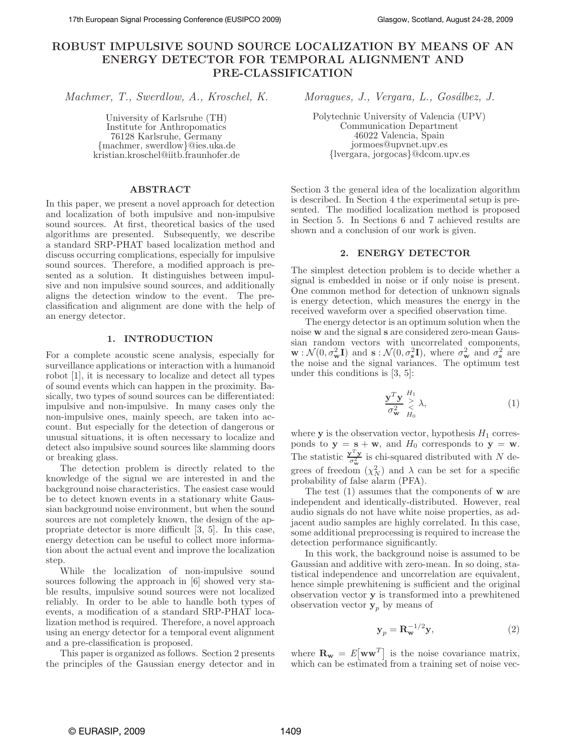# **ROBUST IMPULSIVE SOUND SOURCE LOCALIZATION BY MEANS OF AN ENERGY DETECTOR FOR TEMPORAL ALIGNMENT AND PRE-CLASSIFICATION**

*Machmer, T., Swerdlow, A., Kroschel, K. Moragues, J., Vergara, L., Gosálbez, J.* 

University of Karlsruhe (TH) Institute for Anthropomatics 76128 Karlsruhe, Germany {machmer, swerdlow}@ies.uka.de kristian.kroschel@iitb.fraunhofer.de

## **ABSTRACT**

In this paper, we present a novel approach for detection and localization of both impulsive and non-impulsive sound sources. At first, theoretical basics of the used algorithms are presented. Subsequently, we describe a standard SRP-PHAT based localization method and discuss occurring complications, especially for impulsive sound sources. Therefore, a modified approach is presented as a solution. It distinguishes between impulsive and non impulsive sound sources, and additionally aligns the detection window to the event. The preclassification and alignment are done with the help of an energy detector.

# **1. INTRODUCTION**

For a complete acoustic scene analysis, especially for surveillance applications or interaction with a humanoid robot [1], it is necessary to localize and detect all types of sound events which can happen in the proximity. Basically, two types of sound sources can be differentiated: impulsive and non-impulsive. In many cases only the non-impulsive ones, mainly speech, are taken into account. But especially for the detection of dangerous or unusual situations, it is often necessary to localize and detect also impulsive sound sources like slamming doors or breaking glass.

The detection problem is directly related to the knowledge of the signal we are interested in and the background noise characteristics. The easiest case would be to detect known events in a stationary white Gaussian background noise environment, but when the sound sources are not completely known, the design of the appropriate detector is more difficult [3, 5]. In this case, energy detection can be useful to collect more information about the actual event and improve the localization step.

While the localization of non-impulsive sound sources following the approach in [6] showed very stable results, impulsive sound sources were not localized reliably. In order to be able to handle both types of events, a modification of a standard SRP-PHAT localization method is required. Therefore, a novel approach using an energy detector for a temporal event alignment and a pre-classification is proposed.

This paper is organized as follows. Section 2 presents the principles of the Gaussian energy detector and in

Polytechnic University of Valencia (UPV) Communication Department 46022 Valencia, Spain jormoes@upvnet.upv.es {lvergara, jorgocas}@dcom.upv.es

Section 3 the general idea of the localization algorithm is described. In Section 4 the experimental setup is presented. The modified localization method is proposed in Section 5. In Sections 6 and 7 achieved results are shown and a conclusion of our work is given.

## **2. ENERGY DETECTOR**

The simplest detection problem is to decide whether a signal is embedded in noise or if only noise is present. One common method for detection of unknown signals is energy detection, which measures the energy in the received waveform over a specified observation time.

The energy detector is an optimum solution when the noise **w** and the signal **s** are considered zero-mean Gaussian random vectors with uncorrelated components,  $\mathbf{w}: \mathcal{N}(0, \sigma_{\mathbf{w}}^2 \mathbf{I})$  and  $\mathbf{s}: \mathcal{N}(0, \sigma_{\mathbf{s}}^2 \mathbf{I})$ , where  $\sigma_{\mathbf{w}}^2$  and  $\sigma_{\mathbf{s}}^2$  are the noise and the signal variances. The optimum test under this conditions is [3, 5]:

$$
\frac{\mathbf{y}^T \mathbf{y}}{\sigma_{\mathbf{w}}^2} \underset{H_0}{\overset{H_1}{\geq}} \lambda,\tag{1}
$$

where  $\bf{y}$  is the observation vector, hypothesis  $H_1$  corresponds to  $y = s + w$ , and  $H_0$  corresponds to  $y = w$ . The statistic  $\frac{\mathbf{y}^T \mathbf{y}}{\sigma^2}$  $\sigma_{\mathbf{w}}^2$  is chi-squared distributed with N degrees of freedom  $(\chi_N^2)$  and  $\lambda$  can be set for a specific probability of false alarm (PFA).

The test (1) assumes that the components of **w** are independent and identically-distributed. However, real audio signals do not have white noise properties, as adjacent audio samples are highly correlated. In this case, some additional preprocessing is required to increase the detection performance significantly.

In this work, the background noise is assumed to be Gaussian and additive with zero-mean. In so doing, statistical independence and uncorrelation are equivalent, hence simple prewhitening is sufficient and the original observation vector **y** is transformed into a prewhitened observation vector  $y_p$  by means of

$$
\mathbf{y}_p = \mathbf{R}_{\mathbf{w}}^{-1/2} \mathbf{y},\tag{2}
$$

where  $\mathbf{R_w} = E[\mathbf{w}\mathbf{w}^T]$  is the noise covariance matrix, which can be estimated from a training set of noise vec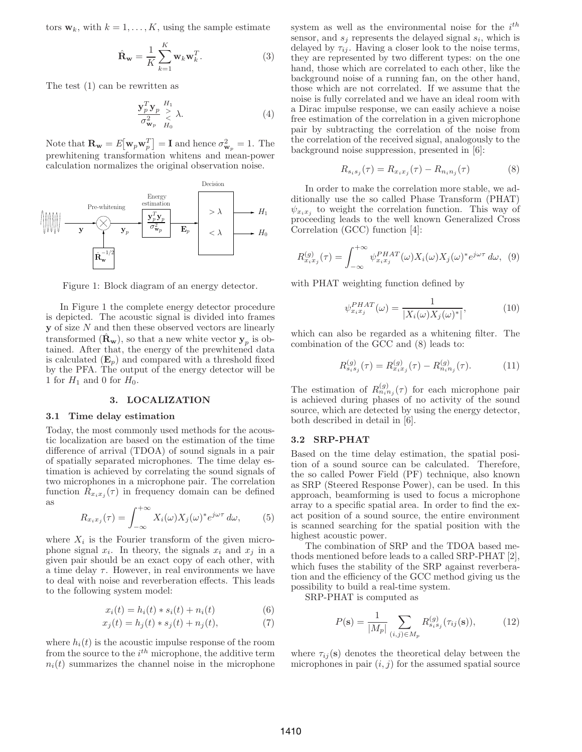tors  $w_k$ , with  $k = 1, ..., K$ , using the sample estimate

$$
\hat{\mathbf{R}}_{\mathbf{w}} = \frac{1}{K} \sum_{k=1}^{K} \mathbf{w}_k \mathbf{w}_k^T.
$$
 (3)

The test (1) can be rewritten as

$$
\frac{\mathbf{y}_p^T \mathbf{y}_p}{\sigma_{\mathbf{w}_p}^2} \underset{H_0}{\geq} \lambda.
$$
\n(4)

Note that  $\mathbf{R_w} = E[\mathbf{w}_p \mathbf{w}_p^T] = \mathbf{I}$  and hence  $\sigma_{\mathbf{w}_p}^2 = 1$ . The p prewhitening transformation whitens and mean-power calculation normalizes the original observation noise.



Figure 1: Block diagram of an energy detector.

In Figure 1 the complete energy detector procedure is depicted. The acoustic signal is divided into frames **y** of size N and then these observed vectors are linearly transformed  $(\mathbf{R}_{\mathbf{w}})$ , so that a new white vector  $\mathbf{y}_p$  is obtained. After that, the energy of the prewhitened data is calculated  $(\mathbf{E}_p)$  and compared with a threshold fixed by the PFA. The output of the energy detector will be 1 for  $H_1$  and 0 for  $H_0$ .

#### **3. LOCALIZATION**

### **3.1 Time delay estimation**

Today, the most commonly used methods for the acoustic localization are based on the estimation of the time difference of arrival (TDOA) of sound signals in a pair of spatially separated microphones. The time delay estimation is achieved by correlating the sound signals of two microphones in a microphone pair. The correlation function  $R_{x_ix_j}(\tau)$  in frequency domain can be defined as

$$
R_{x_ix_j}(\tau) = \int_{-\infty}^{+\infty} X_i(\omega) X_j(\omega)^* e^{j\omega \tau} d\omega, \qquad (5)
$$

where  $X_i$  is the Fourier transform of the given microphone signal  $x_i$ . In theory, the signals  $x_i$  and  $x_j$  in a given pair should be an exact copy of each other, with a time delay  $\tau$ . However, in real environments we have to deal with noise and reverberation effects. This leads to the following system model:

$$
x_i(t) = h_i(t) * s_i(t) + n_i(t)
$$
 (6)

$$
x_j(t) = h_j(t) * s_j(t) + n_j(t),
$$
 (7)

where  $h_i(t)$  is the acoustic impulse response of the room from the source to the  $i^{th}$  microphone, the additive term  $n_i(t)$  summarizes the channel noise in the microphone

system as well as the environmental noise for the  $i^{th}$ sensor, and  $s_j$  represents the delayed signal  $s_i$ , which is delayed by  $\tau_{ij}$ . Having a closer look to the noise terms, they are represented by two different types: on the one hand, those which are correlated to each other, like the background noise of a running fan, on the other hand, those which are not correlated. If we assume that the noise is fully correlated and we have an ideal room with a Dirac impulse response, we can easily achieve a noise free estimation of the correlation in a given microphone pair by subtracting the correlation of the noise from the correlation of the received signal, analogously to the background noise suppression, presented in [6]:

$$
R_{s_i s_j}(\tau) = R_{x_i x_j}(\tau) - R_{n_i n_j}(\tau)
$$
 (8)

In order to make the correlation more stable, we additionally use the so called Phase Transform (PHAT)  $\psi_{x_ix_j}$  to weight the correlation function. This way of proceeding loads to the well known Generalized Cross proceeding leads to the well known Generalized Cross Correlation (GCC) function [4]:

$$
R_{x_ix_j}^{(g)}(\tau) = \int_{-\infty}^{+\infty} \psi_{x_ix_j}^{PHAT}(\omega) X_i(\omega) X_j(\omega)^* e^{j\omega\tau} d\omega, \tag{9}
$$

with PHAT weighting function defined by

$$
\psi_{x_ix_j}^{PHAT}(\omega) = \frac{1}{|X_i(\omega)X_j(\omega)^*|},\tag{10}
$$

which can also be regarded as a whitening filter. The combination of the GCC and (8) leads to:

$$
R_{s_i s_j}^{(g)}(\tau) = R_{x_i x_j}^{(g)}(\tau) - R_{n_i n_j}^{(g)}(\tau). \tag{11}
$$

The estimation of  $R_{n_i n_j}^{(g)}(\tau)$  for each microphone pair is achieved during phases of no activity of the sound source, which are detected by using the energy detector, both described in detail in [6].

### **3.2 SRP-PHAT**

Based on the time delay estimation, the spatial position of a sound source can be calculated. Therefore, the so called Power Field (PF) technique, also known as SRP (Steered Response Power), can be used. In this approach, beamforming is used to focus a microphone array to a specific spatial area. In order to find the exact position of a sound source, the entire environment is scanned searching for the spatial position with the highest acoustic power.

The combination of SRP and the TDOA based methods mentioned before leads to a called SRP-PHAT [2], which fuses the stability of the SRP against reverberation and the efficiency of the GCC method giving us the possibility to build a real-time system.

SRP-PHAT is computed as

$$
P(\mathbf{s}) = \frac{1}{|M_p|} \sum_{(i,j) \in M_p} R_{s_i s_j}^{(g)}(\tau_{ij}(\mathbf{s})), \tag{12}
$$

where  $\tau_{ii}(\mathbf{s})$  denotes the theoretical delay between the microphones in pair  $(i, j)$  for the assumed spatial source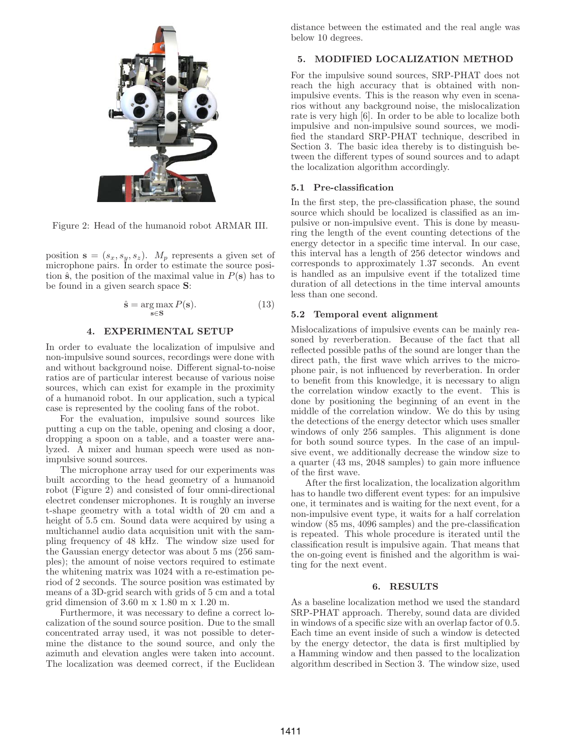

Figure 2: Head of the humanoid robot ARMAR III.

position  $\mathbf{s} = (s_x, s_y, s_z)$ .  $M_p$  represents a given set of microphone pairs. In order to estimate the source position  $\hat{\mathbf{s}}$ , the position of the maximal value in  $P(\mathbf{s})$  has to be found in a given search space **S**:

$$
\hat{\mathbf{s}} = \underset{\mathbf{s} \in \mathbf{S}}{\arg \max} P(\mathbf{s}).\tag{13}
$$

### **4. EXPERIMENTAL SETUP**

In order to evaluate the localization of impulsive and non-impulsive sound sources, recordings were done with and without background noise. Different signal-to-noise ratios are of particular interest because of various noise sources, which can exist for example in the proximity of a humanoid robot. In our application, such a typical case is represented by the cooling fans of the robot.

For the evaluation, impulsive sound sources like putting a cup on the table, opening and closing a door, dropping a spoon on a table, and a toaster were analyzed. A mixer and human speech were used as nonimpulsive sound sources.

The microphone array used for our experiments was built according to the head geometry of a humanoid robot (Figure 2) and consisted of four omni-directional electret condenser microphones. It is roughly an inverse t-shape geometry with a total width of 20 cm and a height of 5.5 cm. Sound data were acquired by using a multichannel audio data acquisition unit with the sampling frequency of 48 kHz. The window size used for the Gaussian energy detector was about 5 ms (256 samples); the amount of noise vectors required to estimate the whitening matrix was 1024 with a re-estimation period of 2 seconds. The source position was estimated by means of a 3D-grid search with grids of 5 cm and a total grid dimension of 3.60 m x 1.80 m x 1.20 m.

Furthermore, it was necessary to define a correct localization of the sound source position. Due to the small concentrated array used, it was not possible to determine the distance to the sound source, and only the azimuth and elevation angles were taken into account. The localization was deemed correct, if the Euclidean distance between the estimated and the real angle was below 10 degrees.

## **5. MODIFIED LOCALIZATION METHOD**

For the impulsive sound sources, SRP-PHAT does not reach the high accuracy that is obtained with nonimpulsive events. This is the reason why even in scenarios without any background noise, the mislocalization rate is very high [6]. In order to be able to localize both impulsive and non-impulsive sound sources, we modified the standard SRP-PHAT technique, described in Section 3. The basic idea thereby is to distinguish between the different types of sound sources and to adapt the localization algorithm accordingly.

## **5.1 Pre-classification**

In the first step, the pre-classification phase, the sound source which should be localized is classified as an impulsive or non-impulsive event. This is done by measuring the length of the event counting detections of the energy detector in a specific time interval. In our case, this interval has a length of 256 detector windows and corresponds to approximately 1.37 seconds. An event is handled as an impulsive event if the totalized time duration of all detections in the time interval amounts less than one second.

#### **5.2 Temporal event alignment**

Mislocalizations of impulsive events can be mainly reasoned by reverberation. Because of the fact that all reflected possible paths of the sound are longer than the direct path, the first wave which arrives to the microphone pair, is not influenced by reverberation. In order to benefit from this knowledge, it is necessary to align the correlation window exactly to the event. This is done by positioning the beginning of an event in the middle of the correlation window. We do this by using the detections of the energy detector which uses smaller windows of only 256 samples. This alignment is done for both sound source types. In the case of an impulsive event, we additionally decrease the window size to a quarter (43 ms, 2048 samples) to gain more influence of the first wave.

After the first localization, the localization algorithm has to handle two different event types: for an impulsive one, it terminates and is waiting for the next event, for a non-impulsive event type, it waits for a half correlation window (85 ms, 4096 samples) and the pre-classification is repeated. This whole procedure is iterated until the classification result is impulsive again. That means that the on-going event is finished and the algorithm is waiting for the next event.

#### **6. RESULTS**

As a baseline localization method we used the standard SRP-PHAT approach. Thereby, sound data are divided in windows of a specific size with an overlap factor of 0.5. Each time an event inside of such a window is detected by the energy detector, the data is first multiplied by a Hamming window and then passed to the localization algorithm described in Section 3. The window size, used